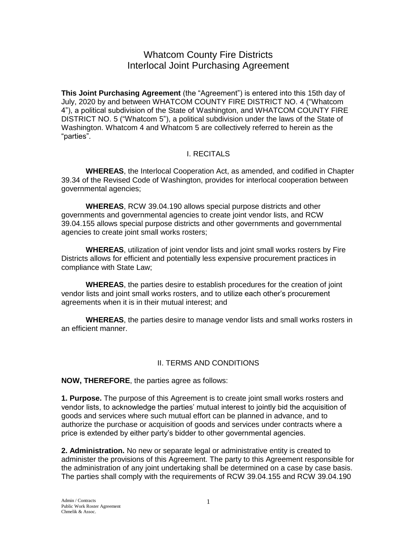## Whatcom County Fire Districts Interlocal Joint Purchasing Agreement

**This Joint Purchasing Agreement** (the "Agreement") is entered into this 15th day of July, 2020 by and between WHATCOM COUNTY FIRE DISTRICT NO. 4 ("Whatcom 4"), a political subdivision of the State of Washington, and WHATCOM COUNTY FIRE DISTRICT NO. 5 ("Whatcom 5"), a political subdivision under the laws of the State of Washington. Whatcom 4 and Whatcom 5 are collectively referred to herein as the "parties".

## I. RECITALS

**WHEREAS**, the Interlocal Cooperation Act, as amended, and codified in Chapter 39.34 of the Revised Code of Washington, provides for interlocal cooperation between governmental agencies;

**WHEREAS**, RCW 39.04.190 allows special purpose districts and other governments and governmental agencies to create joint vendor lists, and RCW 39.04.155 allows special purpose districts and other governments and governmental agencies to create joint small works rosters;

**WHEREAS**, utilization of joint vendor lists and joint small works rosters by Fire Districts allows for efficient and potentially less expensive procurement practices in compliance with State Law;

**WHEREAS**, the parties desire to establish procedures for the creation of joint vendor lists and joint small works rosters, and to utilize each other's procurement agreements when it is in their mutual interest; and

**WHEREAS**, the parties desire to manage vendor lists and small works rosters in an efficient manner.

## II. TERMS AND CONDITIONS

**NOW, THEREFORE**, the parties agree as follows:

**1. Purpose.** The purpose of this Agreement is to create joint small works rosters and vendor lists, to acknowledge the parties' mutual interest to jointly bid the acquisition of goods and services where such mutual effort can be planned in advance, and to authorize the purchase or acquisition of goods and services under contracts where a price is extended by either party's bidder to other governmental agencies.

**2. Administration.** No new or separate legal or administrative entity is created to administer the provisions of this Agreement. The party to this Agreement responsible for the administration of any joint undertaking shall be determined on a case by case basis. The parties shall comply with the requirements of RCW 39.04.155 and RCW 39.04.190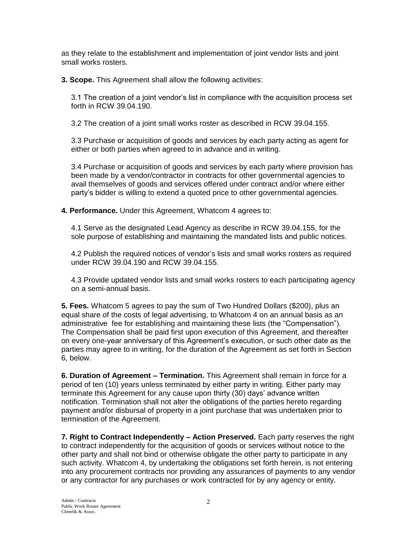as they relate to the establishment and implementation of joint vendor lists and joint small works rosters.

**3. Scope.** This Agreement shall allow the following activities:

3.1 The creation of a joint vendor's list in compliance with the acquisition process set forth in RCW 39.04.190.

3.2 The creation of a joint small works roster as described in RCW 39.04.155.

3.3 Purchase or acquisition of goods and services by each party acting as agent for either or both parties when agreed to in advance and in writing.

3.4 Purchase or acquisition of goods and services by each party where provision has been made by a vendor/contractor in contracts for other governmental agencies to avail themselves of goods and services offered under contract and/or where either party's bidder is willing to extend a quoted price to other governmental agencies.

**4. Performance.** Under this Agreement, Whatcom 4 agrees to:

4.1 Serve as the designated Lead Agency as describe in RCW 39.04.155, for the sole purpose of establishing and maintaining the mandated lists and public notices.

4.2 Publish the required notices of vendor's lists and small works rosters as required under RCW 39.04.190 and RCW 39.04.155.

4.3 Provide updated vendor lists and small works rosters to each participating agency on a semi-annual basis.

**5. Fees.** Whatcom 5 agrees to pay the sum of Two Hundred Dollars (\$200), plus an equal share of the costs of legal advertising, to Whatcom 4 on an annual basis as an administrative fee for establishing and maintaining these lists (the "Compensation"). The Compensation shall be paid first upon execution of this Agreement, and thereafter on every one-year anniversary of this Agreement's execution, or such other date as the parties may agree to in writing, for the duration of the Agreement as set forth in Section 6, below.

**6. Duration of Agreement – Termination.** This Agreement shall remain in force for a period of ten (10) years unless terminated by either party in writing. Either party may terminate this Agreement for any cause upon thirty (30) days' advance written notification. Termination shall not alter the obligations of the parties hereto regarding payment and/or disbursal of property in a joint purchase that was undertaken prior to termination of the Agreement.

**7. Right to Contract Independently – Action Preserved.** Each party reserves the right to contract independently for the acquisition of goods or services without notice to the other party and shall not bind or otherwise obligate the other party to participate in any such activity. Whatcom 4, by undertaking the obligations set forth herein, is not entering into any procurement contracts nor providing any assurances of payments to any vendor or any contractor for any purchases or work contracted for by any agency or entity.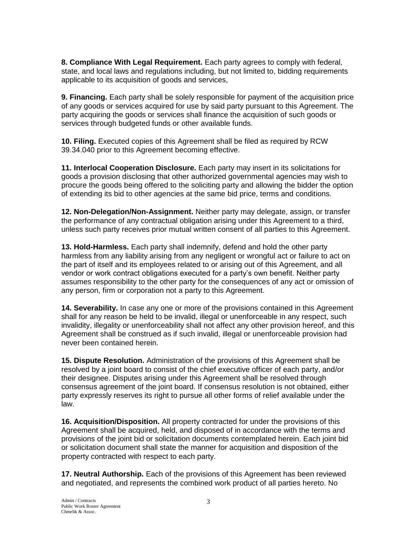**8. Compliance With Legal Requirement.** Each party agrees to comply with federal, state, and local laws and regulations including, but not limited to, bidding requirements applicable to its acquisition of goods and services,

**9. Financing.** Each party shall be solely responsible for payment of the acquisition price of any goods or services acquired for use by said party pursuant to this Agreement. The party acquiring the goods or services shall finance the acquisition of such goods or services through budgeted funds or other available funds.

**10. Filing.** Executed copies of this Agreement shall be filed as required by RCW 39.34.040 prior to this Agreement becoming effective.

**11. Interlocal Cooperation Disclosure.** Each party may insert in its solicitations for goods a provision disclosing that other authorized governmental agencies may wish to procure the goods being offered to the soliciting party and allowing the bidder the option of extending its bid to other agencies at the same bid price, terms and conditions.

**12. Non-Delegation/Non-Assignment.** Neither party may delegate, assign, or transfer the performance of any contractual obligation arising under this Agreement to a third, unless such party receives prior mutual written consent of all parties to this Agreement.

**13. Hold-Harmless.** Each party shall indemnify, defend and hold the other party harmless from any liability arising from any negligent or wrongful act or failure to act on the part of itself and its employees related to or arising out of this Agreement, and all vendor or work contract obligations executed for a party's own benefit. Neither party assumes responsibility to the other party for the consequences of any act or omission of any person, firm or corporation not a party to this Agreement.

**14. Severability.** In case any one or more of the provisions contained in this Agreement shall for any reason be held to be invalid, illegal or unenforceable in any respect, such invalidity, illegality or unenforceability shall not affect any other provision hereof, and this Agreement shall be construed as if such invalid, illegal or unenforceable provision had never been contained herein.

**15. Dispute Resolution.** Administration of the provisions of this Agreement shall be resolved by a joint board to consist of the chief executive officer of each party, and/or their designee. Disputes arising under this Agreement shall be resolved through consensus agreement of the joint board. If consensus resolution is not obtained, either party expressly reserves its right to pursue all other forms of relief available under the law.

**16. Acquisition/Disposition.** All property contracted for under the provisions of this Agreement shall be acquired, held, and disposed of in accordance with the terms and provisions of the joint bid or solicitation documents contemplated herein. Each joint bid or solicitation document shall state the manner for acquisition and disposition of the property contracted with respect to each party.

**17. Neutral Authorship.** Each of the provisions of this Agreement has been reviewed and negotiated, and represents the combined work product of all parties hereto. No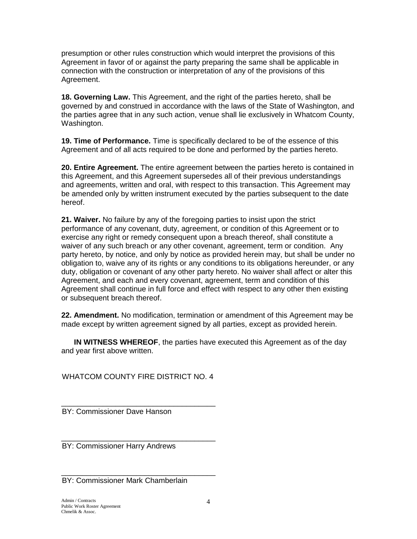presumption or other rules construction which would interpret the provisions of this Agreement in favor of or against the party preparing the same shall be applicable in connection with the construction or interpretation of any of the provisions of this Agreement.

**18. Governing Law.** This Agreement, and the right of the parties hereto, shall be governed by and construed in accordance with the laws of the State of Washington, and the parties agree that in any such action, venue shall lie exclusively in Whatcom County, Washington.

**19. Time of Performance.** Time is specifically declared to be of the essence of this Agreement and of all acts required to be done and performed by the parties hereto.

**20. Entire Agreement.** The entire agreement between the parties hereto is contained in this Agreement, and this Agreement supersedes all of their previous understandings and agreements, written and oral, with respect to this transaction. This Agreement may be amended only by written instrument executed by the parties subsequent to the date hereof.

**21. Waiver.** No failure by any of the foregoing parties to insist upon the strict performance of any covenant, duty, agreement, or condition of this Agreement or to exercise any right or remedy consequent upon a breach thereof, shall constitute a waiver of any such breach or any other covenant, agreement, term or condition. Any party hereto, by notice, and only by notice as provided herein may, but shall be under no obligation to, waive any of its rights or any conditions to its obligations hereunder, or any duty, obligation or covenant of any other party hereto. No waiver shall affect or alter this Agreement, and each and every covenant, agreement, term and condition of this Agreement shall continue in full force and effect with respect to any other then existing or subsequent breach thereof.

**22. Amendment.** No modification, termination or amendment of this Agreement may be made except by written agreement signed by all parties, except as provided herein.

 **IN WITNESS WHEREOF**, the parties have executed this Agreement as of the day and year first above written.

WHATCOM COUNTY FIRE DISTRICT NO. 4

\_\_\_\_\_\_\_\_\_\_\_\_\_\_\_\_\_\_\_\_\_\_\_\_\_\_\_\_\_\_\_\_\_\_\_\_\_

\_\_\_\_\_\_\_\_\_\_\_\_\_\_\_\_\_\_\_\_\_\_\_\_\_\_\_\_\_\_\_\_\_\_\_\_\_ BY: Commissioner Dave Hanson

BY: Commissioner Harry Andrews

\_\_\_\_\_\_\_\_\_\_\_\_\_\_\_\_\_\_\_\_\_\_\_\_\_\_\_\_\_\_\_\_\_\_\_\_\_ BY: Commissioner Mark Chamberlain